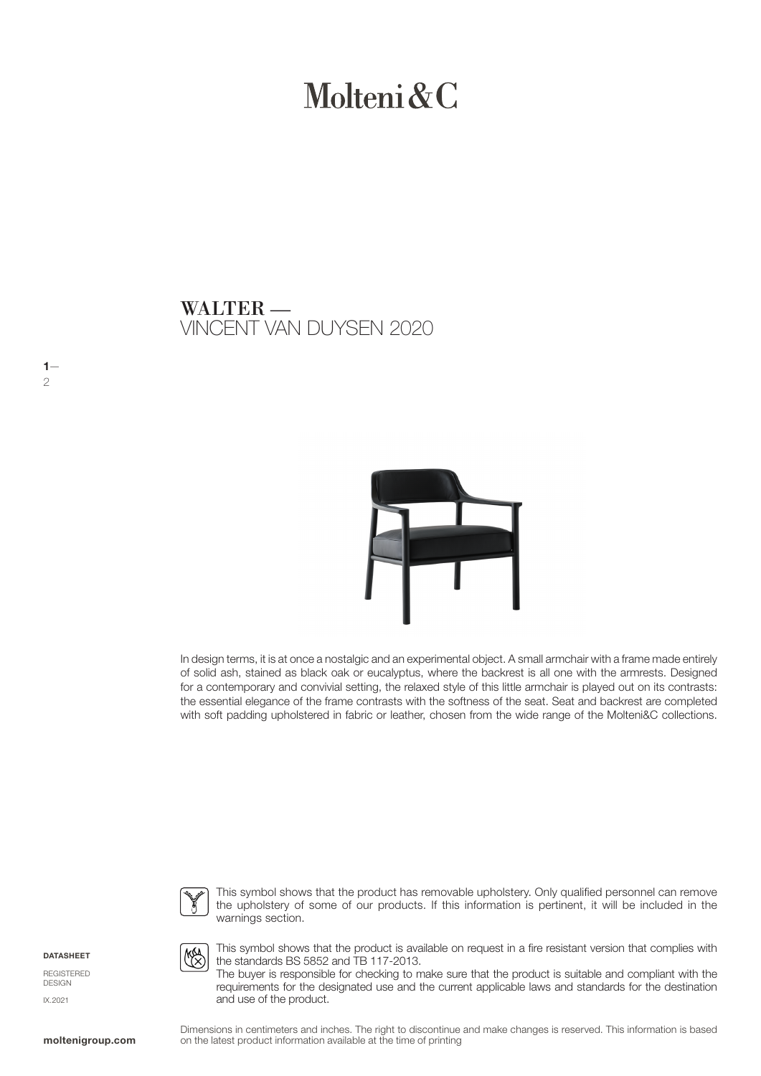# Molteni & C

VINCENT VAN DUYSEN 2020 WALTER —



In design terms, it is at once a nostalgic and an experimental object. A small armchair with a frame made entirely of solid ash, stained as black oak or eucalyptus, where the backrest is all one with the armrests. Designed for a contemporary and convivial setting, the relaxed style of this little armchair is played out on its contrasts: the essential elegance of the frame contrasts with the softness of the seat. Seat and backrest are completed with soft padding upholstered in fabric or leather, chosen from the wide range of the Molteni&C collections.



This symbol shows that the product has removable upholstery. Only qualified personnel can remove the upholstery of some of our products. If this information is pertinent, it will be included in the warnings section.

**DATASHEET** 

 $1-$ 2

REGISTERED DESIGN IX.2021



This symbol shows that the product is available on request in a fire resistant version that complies with the standards BS 5852 and TB 117-2013.

The buyer is responsible for checking to make sure that the product is suitable and compliant with the requirements for the designated use and the current applicable laws and standards for the destination and use of the product.

Dimensions in centimeters and inches. The right to discontinue and make changes is reserved. This information is based on the latest product information available at the time of printing